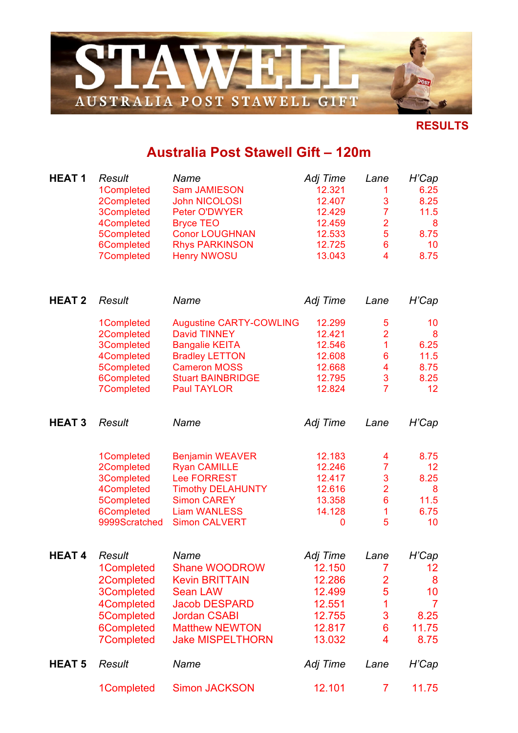

## **RESULTS**

## **Australia Post Stawell Gift – 120m**

| <b>HEAT1</b>  | Result<br>1Completed<br>2Completed<br>3Completed<br>4Completed<br>5Completed<br>6Completed<br><b>7Completed</b>        | Name<br><b>Sam JAMIESON</b><br><b>John NICOLOSI</b><br><b>Peter O'DWYER</b><br><b>Bryce TEO</b><br><b>Conor LOUGHNAN</b><br><b>Rhys PARKINSON</b><br><b>Henry NWOSU</b>          | Adj Time<br>12.321<br>12.407<br>12.429<br>12.459<br>12.533<br>12.725<br>13.043 | Lane<br>1<br>3<br>$\overline{7}$<br>$\overline{\mathbf{2}}$<br>5<br>$6\phantom{a}$<br>4 | H'Cap<br>6.25<br>8.25<br>11.5<br>8<br>8.75<br>10<br>8.75          |
|---------------|------------------------------------------------------------------------------------------------------------------------|----------------------------------------------------------------------------------------------------------------------------------------------------------------------------------|--------------------------------------------------------------------------------|-----------------------------------------------------------------------------------------|-------------------------------------------------------------------|
| <b>HEAT 2</b> | Result                                                                                                                 | Name                                                                                                                                                                             | Adj Time                                                                       | Lane                                                                                    | H'Cap                                                             |
|               | 1Completed<br>2Completed<br>3Completed<br>4Completed<br>5Completed<br>6Completed<br><b>7Completed</b>                  | <b>Augustine CARTY-COWLING</b><br><b>David TINNEY</b><br><b>Bangalie KEITA</b><br><b>Bradley LETTON</b><br><b>Cameron MOSS</b><br><b>Stuart BAINBRIDGE</b><br><b>Paul TAYLOR</b> | 12.299<br>12.421<br>12.546<br>12.608<br>12.668<br>12.795<br>12.824             | 5<br>$\overline{2}$<br>1<br>$6\phantom{1}6$<br>4<br>3<br>$\overline{7}$                 | 10<br>8<br>6.25<br>11.5<br>8.75<br>8.25<br>12                     |
| <b>HEAT3</b>  | <b>Result</b>                                                                                                          | Name                                                                                                                                                                             | Adj Time                                                                       | Lane                                                                                    | H'Cap                                                             |
|               | 1Completed<br>2Completed<br>3Completed<br>4Completed<br>5Completed<br>6Completed<br>9999Scratched                      | <b>Benjamin WEAVER</b><br><b>Ryan CAMILLE</b><br><b>Lee FORREST</b><br><b>Timothy DELAHUNTY</b><br><b>Simon CAREY</b><br><b>Liam WANLESS</b><br><b>Simon CALVERT</b>             | 12.183<br>12.246<br>12.417<br>12.616<br>13.358<br>14.128<br>0                  | 4<br>$\overline{7}$<br>3<br>$\overline{2}$<br>$\boldsymbol{6}$<br>1<br>5                | 8.75<br>12<br>8.25<br>8<br>11.5<br>6.75<br>10                     |
| <b>HEAT4</b>  | <b>Result</b><br>1Completed<br>2Completed<br>3Completed<br>4Completed<br>5Completed<br>6Completed<br><b>7Completed</b> | Name<br><b>Shane WOODROW</b><br><b>Kevin BRITTAIN</b><br><b>Sean LAW</b><br><b>Jacob DESPARD</b><br><b>Jordan CSABI</b><br><b>Matthew NEWTON</b><br><b>Jake MISPELTHORN</b>      | Adj Time<br>12.150<br>12.286<br>12.499<br>12.551<br>12.755<br>12.817<br>13.032 | Lane<br>7<br>$\frac{2}{5}$<br>1<br>3<br>6<br>4                                          | H'Cap<br>12<br>8<br>10<br>$\overline{7}$<br>8.25<br>11.75<br>8.75 |
| <b>HEAT 5</b> | Result                                                                                                                 | Name                                                                                                                                                                             | Adj Time                                                                       | Lane                                                                                    | H'Cap                                                             |
|               | 1Completed                                                                                                             | <b>Simon JACKSON</b>                                                                                                                                                             | 12.101                                                                         | $\overline{7}$                                                                          | 11.75                                                             |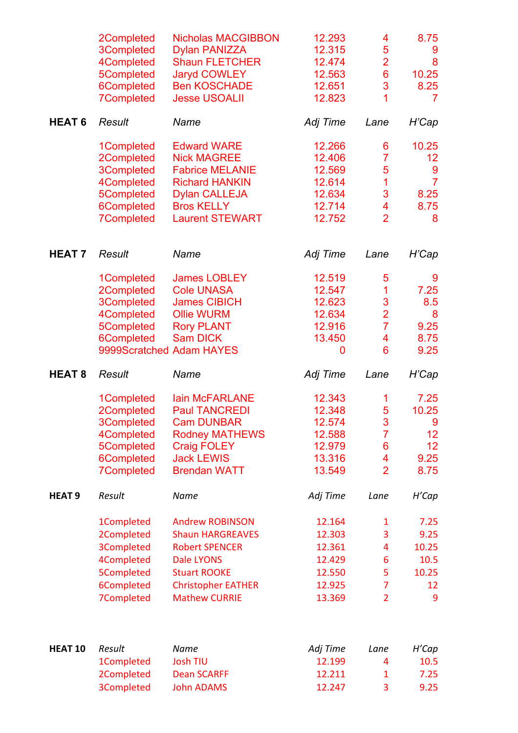|                    | 2Completed<br>3Completed<br>4Completed<br>5Completed<br>6Completed | <b>Nicholas MACGIBBON</b><br><b>Dylan PANIZZA</b><br><b>Shaun FLETCHER</b><br><b>Jaryd COWLEY</b><br><b>Ben KOSCHADE</b> | 12.293<br>12.315<br>12.474<br>12.563<br>12.651 | 4<br>5<br>$\overline{\mathbf{2}}$<br>$\overline{6}$<br>3 | 8.75<br>9<br>8<br>10.25<br>8.25 |
|--------------------|--------------------------------------------------------------------|--------------------------------------------------------------------------------------------------------------------------|------------------------------------------------|----------------------------------------------------------|---------------------------------|
|                    | <b>7Completed</b>                                                  | <b>Jesse USOALII</b>                                                                                                     | 12.823                                         | 1                                                        | $\overline{7}$                  |
| <b>HEAT 6</b>      | Result                                                             | Name                                                                                                                     | Adj Time                                       | Lane                                                     | H'Cap                           |
|                    | 1Completed                                                         | <b>Edward WARE</b>                                                                                                       | 12.266                                         | 6                                                        | 10.25                           |
|                    | 2Completed                                                         | <b>Nick MAGREE</b>                                                                                                       | 12.406                                         | 7                                                        | 12                              |
|                    | 3Completed                                                         | <b>Fabrice MELANIE</b>                                                                                                   | 12.569                                         | 5                                                        | 9                               |
|                    | 4Completed                                                         | <b>Richard HANKIN</b>                                                                                                    | 12.614                                         | 1                                                        | $\overline{7}$                  |
|                    | 5Completed                                                         | <b>Dylan CALLEJA</b>                                                                                                     | 12.634                                         | 3                                                        | 8.25                            |
|                    | 6Completed                                                         | <b>Bros KELLY</b>                                                                                                        | 12.714                                         | 4                                                        | 8.75                            |
|                    | <b>7Completed</b>                                                  | <b>Laurent STEWART</b>                                                                                                   | 12.752                                         | $\overline{2}$                                           | 8                               |
| <b>HEAT 7</b>      | <b>Result</b>                                                      | Name                                                                                                                     | Adj Time                                       | Lane                                                     | H'Cap                           |
|                    | 1Completed                                                         | <b>James LOBLEY</b>                                                                                                      | 12.519                                         | 5                                                        | 9                               |
|                    | 2Completed                                                         | <b>Cole UNASA</b>                                                                                                        | 12.547                                         | 1                                                        | 7.25                            |
|                    | 3Completed                                                         | <b>James CIBICH</b>                                                                                                      | 12.623                                         | 3                                                        | 8.5                             |
|                    | 4Completed                                                         | <b>Ollie WURM</b>                                                                                                        | 12.634                                         | $\frac{2}{7}$                                            | 8                               |
|                    | 5Completed                                                         | <b>Rory PLANT</b>                                                                                                        | 12.916                                         |                                                          | 9.25                            |
|                    | 6Completed                                                         | <b>Sam DICK</b>                                                                                                          | 13.450                                         | 4                                                        | 8.75                            |
|                    |                                                                    | 9999Scratched Adam HAYES                                                                                                 | 0                                              | 6                                                        | 9.25                            |
|                    |                                                                    |                                                                                                                          |                                                |                                                          |                                 |
| <b>HEAT 8</b>      | Result                                                             | Name                                                                                                                     | Adj Time                                       | Lane                                                     | H'Cap                           |
|                    | 1Completed                                                         | lain McFARLANE                                                                                                           | 12.343                                         | 1                                                        | 7.25                            |
|                    | 2Completed                                                         | <b>Paul TANCREDI</b>                                                                                                     | 12.348                                         | 5                                                        | 10.25                           |
|                    | 3Completed                                                         | <b>Cam DUNBAR</b>                                                                                                        | 12.574                                         | 3                                                        | $9^{\circ}$                     |
|                    | 4Completed                                                         | <b>Rodney MATHEWS</b>                                                                                                    | 12.588                                         | $\overline{7}$                                           | 12 <sub>2</sub>                 |
|                    | 5Completed                                                         | <b>Craig FOLEY</b>                                                                                                       | 12.979                                         | 6                                                        | 12                              |
|                    | 6Completed                                                         | <b>Jack LEWIS</b>                                                                                                        | 13.316                                         | 4                                                        | 9.25                            |
|                    | <b>7Completed</b>                                                  | <b>Brendan WATT</b>                                                                                                      | 13.549                                         | $\overline{2}$                                           | 8.75                            |
| <b>HEAT 9</b>      | Result                                                             | Name                                                                                                                     | Adj Time                                       | Lane                                                     | H'Cap                           |
|                    | 1Completed                                                         | <b>Andrew ROBINSON</b>                                                                                                   | 12.164                                         | $\mathbf{1}$                                             | 7.25                            |
|                    | 2Completed                                                         | <b>Shaun HARGREAVES</b>                                                                                                  | 12.303                                         | 3                                                        | 9.25                            |
|                    | <b>3Completed</b>                                                  | <b>Robert SPENCER</b>                                                                                                    | 12.361                                         | 4                                                        | 10.25                           |
|                    | 4Completed                                                         | <b>Dale LYONS</b>                                                                                                        | 12.429                                         | 6                                                        | 10.5                            |
|                    |                                                                    |                                                                                                                          |                                                |                                                          |                                 |
|                    | 5Completed                                                         | <b>Stuart ROOKE</b>                                                                                                      | 12.550                                         | 5                                                        | 10.25                           |
|                    | 6Completed<br><b>7Completed</b>                                    | <b>Christopher EATHER</b><br><b>Mathew CURRIE</b>                                                                        | 12.925<br>13.369                               | 7<br>$\overline{2}$                                      | 12<br>9                         |
|                    |                                                                    |                                                                                                                          |                                                |                                                          |                                 |
| HEAT <sub>10</sub> | Result                                                             | Name                                                                                                                     | Adj Time                                       | Lane                                                     | H'Cap                           |
|                    | 1Completed                                                         | <b>Josh TIU</b>                                                                                                          | 12.199                                         | 4                                                        | 10.5                            |
|                    | 2Completed                                                         | <b>Dean SCARFF</b>                                                                                                       | 12.211                                         | $\mathbf{1}$                                             | 7.25                            |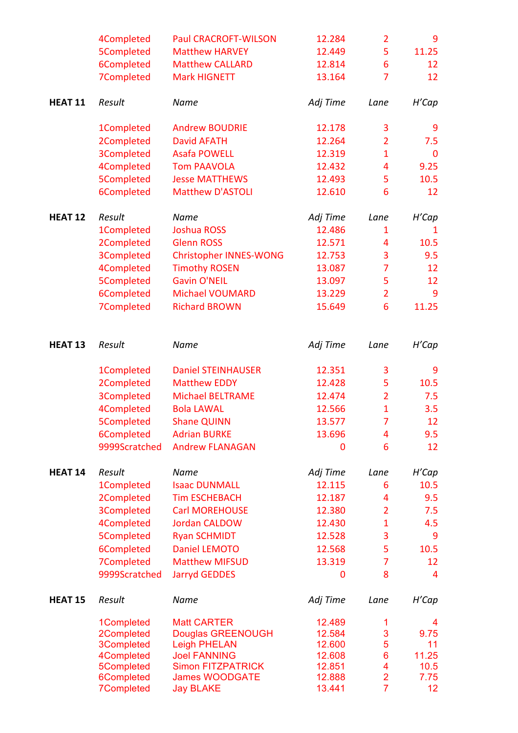|                    | 4Completed               | <b>Paul CRACROFT-WILSON</b>                | 12.284           | $\overline{2}$ | 9               |
|--------------------|--------------------------|--------------------------------------------|------------------|----------------|-----------------|
|                    | 5Completed               | <b>Matthew HARVEY</b>                      | 12.449           | 5              | 11.25           |
|                    | 6Completed               | <b>Matthew CALLARD</b>                     | 12.814           | 6              | 12              |
|                    | 7Completed               | <b>Mark HIGNETT</b>                        | 13.164           | $\overline{7}$ | 12              |
| HEAT 11            | Result                   | Name                                       | Adj Time         | Lane           | H'Cap           |
|                    | 1Completed               | <b>Andrew BOUDRIE</b>                      | 12.178           | 3              | 9               |
|                    | 2Completed               | <b>David AFATH</b>                         | 12.264           | $\overline{2}$ | 7.5             |
|                    | <b>3Completed</b>        | <b>Asafa POWELL</b>                        | 12.319           | $\mathbf{1}$   | $\mathbf 0$     |
|                    | 4Completed               | <b>Tom PAAVOLA</b>                         | 12.432           | 4              | 9.25            |
|                    | 5Completed               | <b>Jesse MATTHEWS</b>                      | 12.493           | 5              | 10.5            |
|                    | 6Completed               | <b>Matthew D'ASTOLI</b>                    | 12.610           | 6              | 12              |
| <b>HEAT 12</b>     | Result                   | Name                                       | Adj Time         | Lane           | H'Cap           |
|                    | 1Completed               | <b>Joshua ROSS</b>                         | 12.486           | $\mathbf{1}$   | $\mathbf{1}$    |
|                    | 2Completed               | <b>Glenn ROSS</b>                          | 12.571           | 4              | 10.5            |
|                    | <b>3Completed</b>        | <b>Christopher INNES-WONG</b>              | 12.753           | 3              | 9.5             |
|                    | 4Completed               | <b>Timothy ROSEN</b>                       | 13.087           | $\overline{7}$ | 12              |
|                    | 5Completed               | <b>Gavin O'NEIL</b>                        | 13.097           | 5              | 12              |
|                    | 6Completed               | Michael VOUMARD                            | 13.229           | $\overline{2}$ | 9               |
|                    | 7Completed               | <b>Richard BROWN</b>                       | 15.649           | 6              | 11.25           |
| HEAT <sub>13</sub> | Result                   | Name                                       | Adj Time         | Lane           | H'Cap           |
|                    | 1Completed               | <b>Daniel STEINHAUSER</b>                  | 12.351           | 3              | 9               |
|                    | 2Completed               | <b>Matthew EDDY</b>                        | 12.428           | 5              | 10.5            |
|                    | <b>3Completed</b>        | <b>Michael BELTRAME</b>                    | 12.474           | $\overline{2}$ | 7.5             |
|                    | 4Completed               | <b>Bola LAWAL</b>                          | 12.566           | $\mathbf{1}$   | 3.5             |
|                    | 5Completed               | <b>Shane QUINN</b>                         | 13.577           | $\overline{7}$ | 12              |
|                    | 6Completed               | <b>Adrian BURKE</b>                        | 13.696           | 4              | 9.5             |
|                    | 9999Scratched            | <b>Andrew FLANAGAN</b>                     | 0                | 6              | 12              |
| <b>HEAT 14</b>     | Result                   | Name                                       | Adj Time         | Lane           | H'Cap           |
|                    | 1Completed               | <b>Isaac DUNMALL</b>                       | 12.115           | 6              | 10.5            |
|                    | 2Completed               | <b>Tim ESCHEBACH</b>                       | 12.187           | 4              | 9.5             |
|                    | <b>3Completed</b>        | <b>Carl MOREHOUSE</b>                      | 12.380           | $\overline{2}$ | 7.5             |
|                    | 4Completed               | <b>Jordan CALDOW</b>                       | 12.430           | $\mathbf{1}$   | 4.5             |
|                    | 5Completed               | <b>Ryan SCHMIDT</b>                        | 12.528           | 3              | 9               |
|                    | 6Completed               | <b>Daniel LEMOTO</b>                       | 12.568           | 5              | 10.5            |
|                    | 7Completed               | <b>Matthew MIFSUD</b>                      | 13.319           | 7              | 12              |
|                    | 9999Scratched            | <b>Jarryd GEDDES</b>                       | 0                | 8              | 4               |
| <b>HEAT 15</b>     | Result                   | Name                                       | Adj Time         | Lane           | H'Cap           |
|                    | 1Completed               | <b>Matt CARTER</b>                         | 12.489           | 1              | 4               |
|                    | 2Completed               | <b>Douglas GREENOUGH</b>                   | 12.584           | 3<br>5         | 9.75            |
|                    | 3Completed<br>4Completed | <b>Leigh PHELAN</b><br><b>Joel FANNING</b> | 12.600<br>12.608 | 6              | 11<br>11.25     |
|                    | 5Completed               | <b>Simon FITZPATRICK</b>                   | 12.851           | 4              | 10.5            |
|                    | 6Completed               | <b>James WOODGATE</b>                      | 12.888           | $\overline{2}$ | 7.75            |
|                    | <b>7Completed</b>        | <b>Jay BLAKE</b>                           | 13.441           | $\overline{7}$ | 12 <sub>2</sub> |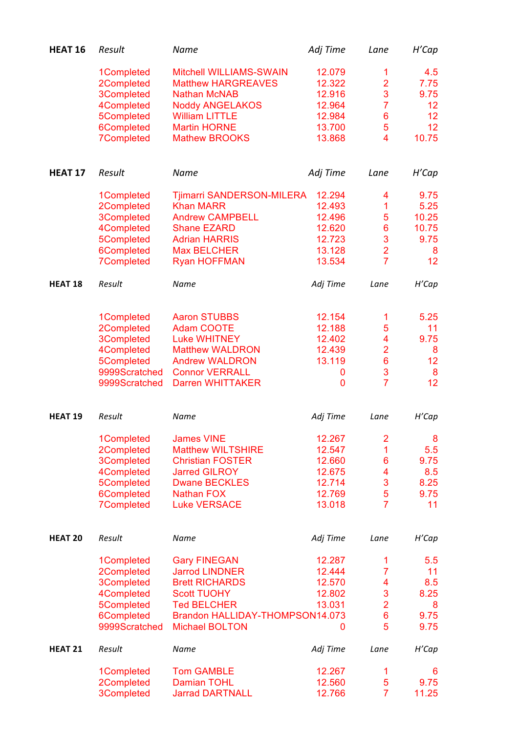| 1Completed<br>Mitchell WILLIAMS-SWAIN<br>12.079<br>1<br>$\overline{2}$<br>2Completed<br>12.322<br><b>Matthew HARGREAVES</b><br>3<br>3Completed<br><b>Nathan McNAB</b><br>12.916<br>$\overline{7}$<br>4Completed<br><b>Noddy ANGELAKOS</b><br>12.964<br>5Completed<br><b>William LITTLE</b><br>12.984<br>6<br>5<br>6Completed<br><b>Martin HORNE</b><br>13.700 | 4.5<br>7.75<br>9.75<br>12<br>12 |
|---------------------------------------------------------------------------------------------------------------------------------------------------------------------------------------------------------------------------------------------------------------------------------------------------------------------------------------------------------------|---------------------------------|
|                                                                                                                                                                                                                                                                                                                                                               |                                 |
|                                                                                                                                                                                                                                                                                                                                                               |                                 |
|                                                                                                                                                                                                                                                                                                                                                               |                                 |
|                                                                                                                                                                                                                                                                                                                                                               |                                 |
|                                                                                                                                                                                                                                                                                                                                                               |                                 |
|                                                                                                                                                                                                                                                                                                                                                               |                                 |
|                                                                                                                                                                                                                                                                                                                                                               | 12                              |
| <b>7Completed</b><br>4<br><b>Mathew BROOKS</b><br>13.868                                                                                                                                                                                                                                                                                                      | 10.75                           |
| Result<br>HEAT 17<br>Name<br>Adj Time<br>Lane                                                                                                                                                                                                                                                                                                                 | H'Cap                           |
| Tjimarri SANDERSON-MILERA<br>12.294<br>1Completed<br>4                                                                                                                                                                                                                                                                                                        | 9.75                            |
| 2Completed<br><b>Khan MARR</b><br>12.493<br>1                                                                                                                                                                                                                                                                                                                 | 5.25                            |
| 5<br><b>3Completed</b><br><b>Andrew CAMPBELL</b><br>12.496                                                                                                                                                                                                                                                                                                    | 10.25                           |
| 6<br>4Completed<br>12.620<br><b>Shane EZARD</b>                                                                                                                                                                                                                                                                                                               | 10.75                           |
| 3<br>5Completed<br>12.723<br><b>Adrian HARRIS</b>                                                                                                                                                                                                                                                                                                             | 9.75                            |
| $\overline{2}$<br>6Completed<br>13.128<br><b>Max BELCHER</b>                                                                                                                                                                                                                                                                                                  | 8                               |
| $\overline{7}$<br><b>7Completed</b><br><b>Ryan HOFFMAN</b><br>13.534                                                                                                                                                                                                                                                                                          | 12                              |
|                                                                                                                                                                                                                                                                                                                                                               |                                 |
| HEAT <sub>18</sub><br>Result<br>Name<br>Adj Time<br>Lane                                                                                                                                                                                                                                                                                                      | H'Cap                           |
| 12.154<br>1Completed<br><b>Aaron STUBBS</b><br>1                                                                                                                                                                                                                                                                                                              | 5.25                            |
| 2Completed<br>5<br><b>Adam COOTE</b><br>12.188                                                                                                                                                                                                                                                                                                                | 11                              |
| <b>3Completed</b><br>4<br><b>Luke WHITNEY</b><br>12.402                                                                                                                                                                                                                                                                                                       | 9.75                            |
| 4Completed<br>$\overline{2}$<br><b>Matthew WALDRON</b><br>12.439                                                                                                                                                                                                                                                                                              | 8                               |
| $6\phantom{1}6$<br>5Completed<br>13.119<br><b>Andrew WALDRON</b>                                                                                                                                                                                                                                                                                              | 12                              |
| 3<br>9999Scratched<br><b>Connor VERRALL</b><br>0                                                                                                                                                                                                                                                                                                              | 8                               |
| $\overline{7}$<br>9999Scratched<br><b>Darren WHITTAKER</b><br>$\mathbf 0$                                                                                                                                                                                                                                                                                     | 12                              |
|                                                                                                                                                                                                                                                                                                                                                               |                                 |
|                                                                                                                                                                                                                                                                                                                                                               |                                 |
| Result<br><b>HEAT 19</b><br>Name<br>Adj Time<br>Lane                                                                                                                                                                                                                                                                                                          | H'Cap                           |
|                                                                                                                                                                                                                                                                                                                                                               |                                 |
| <b>James VINE</b><br>12.267<br>1Completed<br>2                                                                                                                                                                                                                                                                                                                | 8                               |
| 2Completed<br><b>Matthew WILTSHIRE</b><br>1<br>12.547                                                                                                                                                                                                                                                                                                         | 5.5                             |
| 6<br>3Completed<br><b>Christian FOSTER</b><br>12.660                                                                                                                                                                                                                                                                                                          | 9.75                            |
| <b>Jarred GILROY</b><br>4<br>4Completed<br>12.675                                                                                                                                                                                                                                                                                                             | 8.5                             |
| 3<br>5Completed<br><b>Dwane BECKLES</b><br>12.714                                                                                                                                                                                                                                                                                                             | 8.25                            |
| 5<br>6Completed<br>12.769<br><b>Nathan FOX</b>                                                                                                                                                                                                                                                                                                                | 9.75                            |
| $\overline{7}$<br><b>7Completed</b><br><b>Luke VERSACE</b><br>13.018                                                                                                                                                                                                                                                                                          | 11                              |
| HEAT <sub>20</sub><br>Result<br>Name<br>Adj Time<br>Lane                                                                                                                                                                                                                                                                                                      | H'Cap                           |
| 12.287<br><b>Gary FINEGAN</b><br>1Completed<br>1                                                                                                                                                                                                                                                                                                              | 5.5                             |
| $\overline{7}$<br><b>Jarrod LINDNER</b><br>12.444                                                                                                                                                                                                                                                                                                             | 11                              |
| 2Completed<br>4<br><b>Brett RICHARDS</b><br>12.570                                                                                                                                                                                                                                                                                                            | 8.5                             |
| 3Completed                                                                                                                                                                                                                                                                                                                                                    |                                 |
| 3<br><b>Scott TUOHY</b><br>4Completed<br>12.802                                                                                                                                                                                                                                                                                                               | 8.25                            |
| $\overline{2}$<br>5Completed<br><b>Ted BELCHER</b><br>13.031                                                                                                                                                                                                                                                                                                  | 8                               |
| $\overline{6}$<br>6Completed<br>Brandon HALLIDAY-THOMPSON14.073<br>5<br>9999Scratched<br><b>Michael BOLTON</b><br>0                                                                                                                                                                                                                                           | 9.75<br>9.75                    |
| HEAT <sub>21</sub><br>Result<br>Name<br>Adj Time<br>Lane                                                                                                                                                                                                                                                                                                      | H'Cap                           |
|                                                                                                                                                                                                                                                                                                                                                               |                                 |
| <b>Tom GAMBLE</b><br>12.267<br>1Completed<br>1<br>5<br>12.560<br>2Completed<br><b>Damian TOHL</b>                                                                                                                                                                                                                                                             | 6<br>9.75                       |